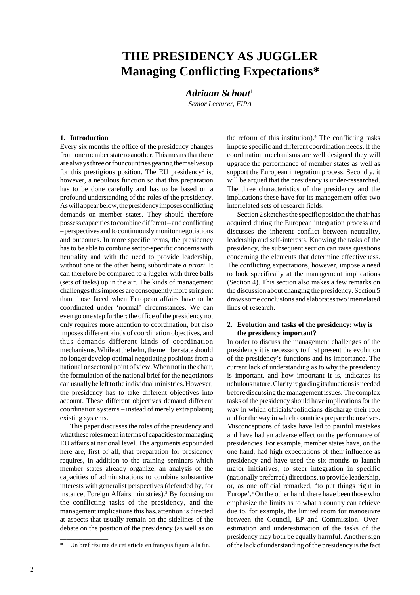# **THE PRESIDENCY AS JUGGLER Managing Conflicting Expectations\***

*Adriaan Schout*<sup>1</sup>

*Senior Lecturer, EIPA*

# **1. Introduction**

Every six months the office of the presidency changes from one member state to another. This means that there are always three or four countries gearing themselves up for this prestigious position. The EU presidency<sup>2</sup> is, however, a nebulous function so that this preparation has to be done carefully and has to be based on a profound understanding of the roles of the presidency. As will appear below, the presidency imposes conflicting demands on member states. They should therefore possess capacities to combine different – and conflicting – perspectives and to continuously monitor negotiations and outcomes. In more specific terms, the presidency has to be able to combine sector-specific concerns with neutrality and with the need to provide leadership, without one or the other being subordinate *a priori*. It can therefore be compared to a juggler with three balls (sets of tasks) up in the air. The kinds of management challenges this imposes are consequently more stringent than those faced when European affairs have to be coordinated under 'normal' circumstances. We can even go one step further: the office of the presidency not only requires more attention to coordination, but also imposes different kinds of coordination objectives, and thus demands different kinds of coordination mechanisms. While at the helm, the member state should no longer develop optimal negotiating positions from a national or sectoral point of view. When not in the chair, the formulation of the national brief for the negotiators can usually be left to the individual ministries. However, the presidency has to take different objectives into account. These different objectives demand different coordination systems – instead of merely extrapolating existing systems.

This paper discusses the roles of the presidency and what these roles mean in terms of capacities for managing EU affairs at national level. The arguments expounded here are, first of all, that preparation for presidency requires, in addition to the training seminars which member states already organize, an analysis of the capacities of administrations to combine substantive interests with generalist perspectives (defended by, for instance, Foreign Affairs ministries).<sup>3</sup> By focusing on the conflicting tasks of the presidency, and the management implications this has, attention is directed at aspects that usually remain on the sidelines of the debate on the position of the presidency (as well as on

\_\_\_\_\_\_\_\_\_\_\_\_\_\_\_

the reform of this institution).<sup>4</sup> The conflicting tasks impose specific and different coordination needs. If the coordination mechanisms are well designed they will upgrade the performance of member states as well as support the European integration process. Secondly, it will be argued that the presidency is under-researched. The three characteristics of the presidency and the implications these have for its management offer two interrelated sets of research fields.

Section 2 sketches the specific position the chair has acquired during the European integration process and discusses the inherent conflict between neutrality, leadership and self-interests. Knowing the tasks of the presidency, the subsequent section can raise questions concerning the elements that determine effectiveness. The conflicting expectations, however, impose a need to look specifically at the management implications (Section 4). This section also makes a few remarks on the discussion about changing the presidency. Section 5 draws some conclusions and elaborates two interrelated lines of research.

# **2. Evolution and tasks of the presidency: why is the presidency important?**

In order to discuss the management challenges of the presidency it is necessary to first present the evolution of the presidency's functions and its importance. The current lack of understanding as to why the presidency is important, and how important it is, indicates its nebulous nature. Clarity regarding its functions is needed before discussing the management issues. The complex tasks of the presidency should have implications for the way in which officials/politicians discharge their role and for the way in which countries prepare themselves. Misconceptions of tasks have led to painful mistakes and have had an adverse effect on the performance of presidencies. For example, member states have, on the one hand, had high expectations of their influence as presidency and have used the six months to launch major initiatives, to steer integration in specific (nationally preferred) directions, to provide leadership, or, as one official remarked, 'to put things right in Europe'.5 On the other hand, there have been those who emphasize the limits as to what a country can achieve due to, for example, the limited room for manoeuvre between the Council, EP and Commission. Overestimation and underestimation of the tasks of the presidency may both be equally harmful. Another sign of the lack of understanding of the presidency is the fact

Un bref résumé de cet article en français figure à la fin.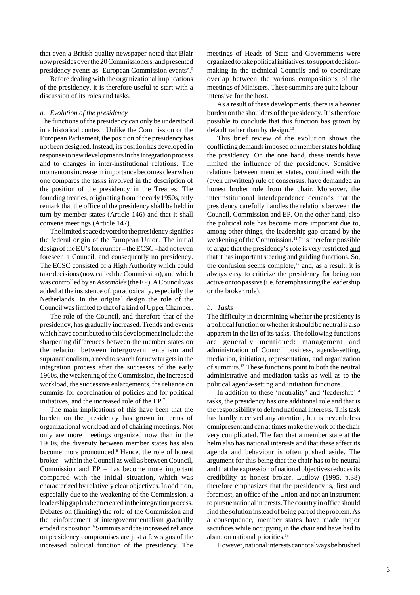that even a British quality newspaper noted that Blair now presides over the 20 Commissioners, and presented presidency events as 'European Commission events'.6

Before dealing with the organizational implications of the presidency, it is therefore useful to start with a discussion of its roles and tasks.

# *a. Evolution of the presidency*

The functions of the presidency can only be understood in a historical context. Unlike the Commission or the European Parliament, the position of the presidency has not been designed. Instead, its position has developed in response to new developments in the integration process and to changes in inter-institutional relations. The momentous increase in importance becomes clear when one compares the tasks involved in the description of the position of the presidency in the Treaties. The founding treaties, originating from the early 1950s, only remark that the office of the presidency shall be held in turn by member states (Article 146) and that it shall convene meetings (Article 147).

The limited space devoted to the presidency signifies the federal origin of the European Union. The initial design of the EU's forerunner – the ECSC –had not even foreseen a Council, and consequently no presidency. The ECSC consisted of a High Authority which could take decisions (now called the Commission), and which was controlled by an *Assemblée* (the EP). A Council was added at the insistence of, paradoxically, especially the Netherlands. In the original design the role of the Council was limited to that of a kind of Upper Chamber.

The role of the Council, and therefore that of the presidency, has gradually increased. Trends and events which have contributed to this development include: the sharpening differences between the member states on the relation between intergovernmentalism and supranationalism, a need to search for new targets in the integration process after the successes of the early 1960s, the weakening of the Commission, the increased workload, the successive enlargements, the reliance on summits for coordination of policies and for political initiatives, and the increased role of the EP.7

The main implications of this have been that the burden on the presidency has grown in terms of organizational workload and of chairing meetings. Not only are more meetings organized now than in the 1960s, the diversity between member states has also become more pronounced.<sup>8</sup> Hence, the role of honest broker – within the Council as well as between Council, Commission and EP – has become more important compared with the initial situation, which was characterized by relatively clear objectives. In addition, especially due to the weakening of the Commission, a leadership gap has been created in the integration process. Debates on (limiting) the role of the Commission and the reinforcement of intergovernmentalism gradually eroded its position.<sup>9</sup> Summits and the increased reliance on presidency compromises are just a few signs of the increased political function of the presidency. The

meetings of Heads of State and Governments were organized to take political initiatives, to support decisionmaking in the technical Councils and to coordinate overlap between the various compositions of the meetings of Ministers. These summits are quite labourintensive for the host.

As a result of these developments, there is a heavier burden on the shoulders of the presidency. It is therefore possible to conclude that this function has grown by default rather than by design.<sup>10</sup>

This brief review of the evolution shows the conflicting demands imposed on member states holding the presidency. On the one hand, these trends have limited the influence of the presidency. Sensitive relations between member states, combined with the (even unwritten) rule of consensus, have demanded an honest broker role from the chair. Moreover, the interinstitutional interdependence demands that the presidency carefully handles the relations between the Council, Commission and EP. On the other hand, also the political role has become more important due to, among other things, the leadership gap created by the weakening of the Commission.<sup>11</sup> It is therefore possible to argue that the presidency's role is very restricted and that it has important steering and guiding functions. So, the confusion seems complete, $12$  and, as a result, it is always easy to criticize the presidency for being too active or too passive (i.e. for emphasizing the leadership or the broker role).

# *b. Tasks*

The difficulty in determining whether the presidency is a political function or whether it should be neutral is also apparent in the list of its tasks. The following functions are generally mentioned: management and administration of Council business, agenda-setting, mediation, initiation, representation, and organization of summits.13 These functions point to both the neutral administrative and mediation tasks as well as to the political agenda-setting and initiation functions.

In addition to these 'neutrality' and 'leadership'14 tasks, the presidency has one additional role and that is the responsibility to defend national interests. This task has hardly received any attention, but is nevertheless omnipresent and can at times make the work of the chair very complicated. The fact that a member state at the helm also has national interests and that these affect its agenda and behaviour is often pushed aside. The argument for this being that the chair has to be neutral and that the expression of national objectives reduces its credibility as honest broker. Ludlow (1995, p.38) therefore emphasizes that the presidency is, first and foremost, an office of the Union and not an instrument to pursue national interests. The country in office should find the solution instead of being part of the problem. As a consequence, member states have made major sacrifices while occupying in the chair and have had to abandon national priorities.15

However, national interests cannot always be brushed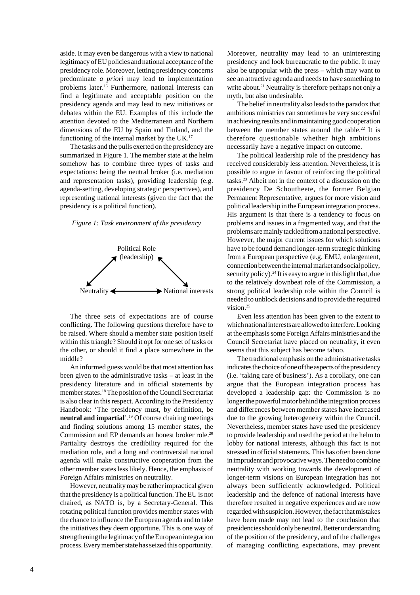aside. It may even be dangerous with a view to national legitimacy of EU policies and national acceptance of the presidency role. Moreover, letting presidency concerns predominate *a priori* may lead to implementation problems later.16 Furthermore, national interests can find a legitimate and acceptable position on the presidency agenda and may lead to new initiatives or debates within the EU. Examples of this include the attention devoted to the Mediterranean and Northern dimensions of the EU by Spain and Finland, and the functioning of the internal market by the UK.17

The tasks and the pulls exerted on the presidency are summarized in Figure 1. The member state at the helm somehow has to combine three types of tasks and expectations: being the neutral broker (i.e. mediation and representation tasks), providing leadership (e.g. agenda-setting, developing strategic perspectives), and representing national interests (given the fact that the presidency is a political function).

### *Figure 1: Task environment of the presidency*



The three sets of expectations are of course conflicting. The following questions therefore have to be raised. Where should a member state position itself within this triangle? Should it opt for one set of tasks or the other, or should it find a place somewhere in the middle?

An informed guess would be that most attention has been given to the administrative tasks – at least in the presidency literature and in official statements by member states.18 The position of the Council Secretariat is also clear in this respect. According to the Presidency Handbook: 'The presidency must, by definition, be **neutral and impartial**'.19 Of course chairing meetings and finding solutions among 15 member states, the Commission and EP demands an honest broker role.<sup>20</sup> Partiality destroys the credibility required for the mediation role, and a long and controversial national agenda will make constructive cooperation from the other member states less likely. Hence, the emphasis of Foreign Affairs ministries on neutrality.

However, neutrality may be rather impractical given that the presidency is a political function. The EU is not chaired, as NATO is, by a Secretary-General. This rotating political function provides member states with the chance to influence the European agenda and to take the initiatives they deem opportune. This is one way of strengthening the legitimacy of the European integration process. Every member state has seized this opportunity.

Moreover, neutrality may lead to an uninteresting presidency and look bureaucratic to the public. It may also be unpopular with the press – which may want to see an attractive agenda and needs to have something to write about.<sup>21</sup> Neutrality is therefore perhaps not only a myth, but also undesirable.

The belief in neutrality also leads to the paradox that ambitious ministries can sometimes be very successful in achieving results and in maintaining good cooperation between the member states around the table.<sup>22</sup> It is therefore questionable whether high ambitions necessarily have a negative impact on outcome.

The political leadership role of the presidency has received considerably less attention. Nevertheless, it is possible to argue in favour of reinforcing the political tasks.23 Albeit not in the context of a discussion on the presidency De Schoutheete, the former Belgian Permanent Representative, argues for more vision and political leadership in the European integration process. His argument is that there is a tendency to focus on problems and issues in a fragmented way, and that the problems are mainly tackled from a national perspective. However, the major current issues for which solutions have to be found demand longer-term strategic thinking from a European perspective (e.g. EMU, enlargement, connection between the internal market and social policy, security policy).<sup>24</sup> It is easy to argue in this light that, due to the relatively downbeat role of the Commission, a strong political leadership role within the Council is needed to unblock decisions and to provide the required vision.25

Even less attention has been given to the extent to which national interests are allowed to interfere. Looking at the emphasis some Foreign Affairs ministries and the Council Secretariat have placed on neutrality, it even seems that this subject has become taboo.

The traditional emphasis on the administrative tasks indicates the choice of one of the aspects of the presidency (i.e. 'taking care of business'). As a corollary, one can argue that the European integration process has developed a leadership gap: the Commission is no longer the powerful motor behind the integration process and differences between member states have increased due to the growing heterogeneity within the Council. Nevertheless, member states have used the presidency to provide leadership and used the period at the helm to lobby for national interests, although this fact is not stressed in official statements. This has often been done in imprudent and provocative ways. The need to combine neutrality with working towards the development of longer-term visions on European integration has not always been sufficiently acknowledged. Political leadership and the defence of national interests have therefore resulted in negative experiences and are now regarded with suspicion. However, the fact that mistakes have been made may not lead to the conclusion that presidencies should only be neutral. Better understanding of the position of the presidency, and of the challenges of managing conflicting expectations, may prevent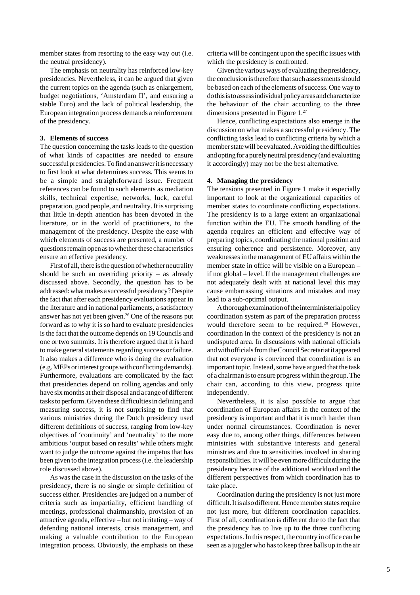member states from resorting to the easy way out (i.e. the neutral presidency).

The emphasis on neutrality has reinforced low-key presidencies. Nevertheless, it can be argued that given the current topics on the agenda (such as enlargement, budget negotiations, 'Amsterdam II', and ensuring a stable Euro) and the lack of political leadership, the European integration process demands a reinforcement of the presidency.

# **3. Elements of success**

The question concerning the tasks leads to the question of what kinds of capacities are needed to ensure successful presidencies. To find an answer it is necessary to first look at what determines success. This seems to be a simple and straightforward issue. Frequent references can be found to such elements as mediation skills, technical expertise, networks, luck, careful preparation, good people, and neutrality. It is surprising that little in-depth attention has been devoted in the literature, or in the world of practitioners, to the management of the presidency. Despite the ease with which elements of success are presented, a number of questions remain open as to whether these characteristics ensure an effective presidency.

First of all, there is the question of whether neutrality should be such an overriding priority – as already discussed above. Secondly, the question has to be addressed: what makes a successful presidency? Despite the fact that after each presidency evaluations appear in the literature and in national parliaments, a satisfactory answer has not yet been given.26 One of the reasons put forward as to why it is so hard to evaluate presidencies is the fact that the outcome depends on 19 Councils and one or two summits. It is therefore argued that it is hard to make general statements regarding success or failure. It also makes a difference who is doing the evaluation (e.g. MEPs or interest groups with conflicting demands). Furthermore, evaluations are complicated by the fact that presidencies depend on rolling agendas and only have six months at their disposal and a range of different tasks to perform. Given these difficulties in defining and measuring success, it is not surprising to find that various ministries during the Dutch presidency used different definitions of success, ranging from low-key objectives of 'continuity' and 'neutrality' to the more ambitious 'output based on results' while others might want to judge the outcome against the impetus that has been given to the integration process (i.e. the leadership role discussed above).

As was the case in the discussion on the tasks of the presidency, there is no single or simple definition of success either. Presidencies are judged on a number of criteria such as impartiality, efficient handling of meetings, professional chairmanship, provision of an attractive agenda, effective – but not irritating – way of defending national interests, crisis management, and making a valuable contribution to the European integration process. Obviously, the emphasis on these

criteria will be contingent upon the specific issues with which the presidency is confronted.

Given the various ways of evaluating the presidency, the conclusion is therefore that such assessments should be based on each of the elements of success. One way to do this is to assess individual policy areas and characterize the behaviour of the chair according to the three dimensions presented in Figure 1.27

Hence, conflicting expectations also emerge in the discussion on what makes a successful presidency. The conflicting tasks lead to conflicting criteria by which a member state will be evaluated. Avoiding the difficulties and opting for a purely neutral presidency (and evaluating it accordingly) may not be the best alternative.

# **4. Managing the presidency**

The tensions presented in Figure 1 make it especially important to look at the organizational capacities of member states to coordinate conflicting expectations. The presidency is to a large extent an organizational function within the EU. The smooth handling of the agenda requires an efficient and effective way of preparing topics, coordinating the national position and ensuring coherence and persistence. Moreover, any weaknesses in the management of EU affairs within the member state in office will be visible on a European – if not global – level. If the management challenges are not adequately dealt with at national level this may cause embarrassing situations and mistakes and may lead to a sub-optimal output.

A thorough examination of the interministerial policy coordination system as part of the preparation process would therefore seem to be required.<sup>28</sup> However, coordination in the context of the presidency is not an undisputed area. In discussions with national officials and with officials from the Council Secretariat it appeared that not everyone is convinced that coordination is an important topic. Instead, some have argued that the task of a chairman is to ensure progress within the group. The chair can, according to this view, progress quite independently.

Nevertheless, it is also possible to argue that coordination of European affairs in the context of the presidency is important and that it is much harder than under normal circumstances. Coordination is never easy due to, among other things, differences between ministries with substantive interests and general ministries and due to sensitivities involved in sharing responsibilities. It will be even more difficult during the presidency because of the additional workload and the different perspectives from which coordination has to take place.

Coordination during the presidency is not just more difficult. It is also different. Hence member states require not just more, but different coordination capacities. First of all, coordination is different due to the fact that the presidency has to live up to the three conflicting expectations. In this respect, the country in office can be seen as a juggler who has to keep three balls up in the air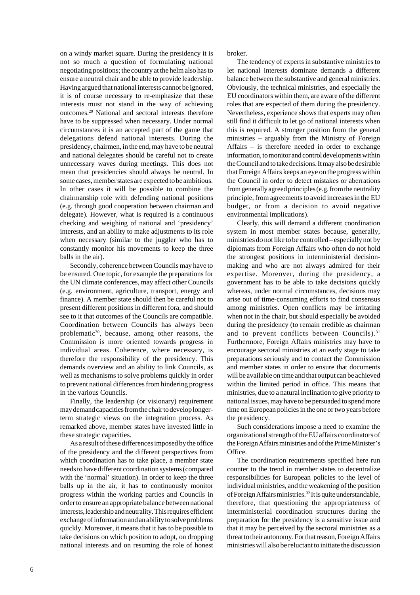on a windy market square. During the presidency it is not so much a question of formulating national negotiating positions; the country at the helm also has to ensure a neutral chair and be able to provide leadership. Having argued that national interests cannot be ignored, it is of course necessary to re-emphasize that these interests must not stand in the way of achieving outcomes.29 National and sectoral interests therefore have to be suppressed when necessary. Under normal circumstances it is an accepted part of the game that delegations defend national interests. During the presidency, chairmen, in the end, may have to be neutral and national delegates should be careful not to create unnecessary waves during meetings. This does not mean that presidencies should always be neutral. In some cases, member states are expected to be ambitious. In other cases it will be possible to combine the chairmanship role with defending national positions (e.g. through good cooperation between chairman and delegate). However, what is required is a continuous checking and weighing of national and 'presidency' interests, and an ability to make adjustments to its role when necessary (similar to the juggler who has to constantly monitor his movements to keep the three balls in the air).

Secondly, coherence between Councils may have to be ensured. One topic, for example the preparations for the UN climate conferences, may affect other Councils (e.g. environment, agriculture, transport, energy and finance). A member state should then be careful not to present different positions in different fora, and should see to it that outcomes of the Councils are compatible. Coordination between Councils has always been problematic<sup>30</sup>, because, among other reasons, the Commission is more oriented towards progress in individual areas. Coherence, where necessary, is therefore the responsibility of the presidency. This demands overview and an ability to link Councils, as well as mechanisms to solve problems quickly in order to prevent national differences from hindering progress in the various Councils.

Finally, the leadership (or visionary) requirement may demand capacities from the chair to develop longerterm strategic views on the integration process. As remarked above, member states have invested little in these strategic capacities.

As a result of these differences imposed by the office of the presidency and the different perspectives from which coordination has to take place, a member state needs to have different coordination systems (compared with the 'normal' situation). In order to keep the three balls up in the air, it has to continuously monitor progress within the working parties and Councils in order to ensure an appropriate balance between national interests, leadership and neutrality. This requires efficient exchange of information and an ability to solve problems quickly. Moreover, it means that it has to be possible to take decisions on which position to adopt, on dropping national interests and on resuming the role of honest broker.

The tendency of experts in substantive ministries to let national interests dominate demands a different balance between the substantive and general ministries. Obviously, the technical ministries, and especially the EU coordinators within them, are aware of the different roles that are expected of them during the presidency. Nevertheless, experience shows that experts may often still find it difficult to let go of national interests when this is required. A stronger position from the general ministries – arguably from the Ministry of Foreign Affairs – is therefore needed in order to exchange information, to monitor and control developments within the Council and to take decisions. It may also be desirable that Foreign Affairs keeps an eye on the progress within the Council in order to detect mistakes or aberrations from generally agreed principles (e.g. from the neutrality principle, from agreements to avoid increases in the EU budget, or from a decision to avoid negative environmental implications).

Clearly, this will demand a different coordination system in most member states because, generally, ministries do not like to be controlled – especially not by diplomats from Foreign Affairs who often do not hold the strongest positions in interministerial decisionmaking and who are not always admired for their expertise. Moreover, during the presidency, a government has to be able to take decisions quickly whereas, under normal circumstances, decisions may arise out of time-consuming efforts to find consensus among ministries. Open conflicts may be irritating when not in the chair, but should especially be avoided during the presidency (to remain credible as chairman and to prevent conflicts between Councils).<sup>31</sup> Furthermore, Foreign Affairs ministries may have to encourage sectoral ministries at an early stage to take preparations seriously and to contact the Commission and member states in order to ensure that documents will be available on time and that output can be achieved within the limited period in office. This means that ministries, due to a natural inclination to give priority to national issues, may have to be persuaded to spend more time on European policies in the one or two years before the presidency.

Such considerations impose a need to examine the organizational strength of the EU affairs coordinators of the Foreign Affairs ministries and of the Prime Minister's Office.

The coordination requirements specified here run counter to the trend in member states to decentralize responsibilities for European policies to the level of individual ministries, and the weakening of the position of Foreign Affairs ministries.<sup>32</sup> It is quite understandable, therefore, that questioning the appropriateness of interministerial coordination structures during the preparation for the presidency is a sensitive issue and that it may be perceived by the sectoral ministries as a threat to their autonomy. For that reason, Foreign Affairs ministries will also be reluctant to initiate the discussion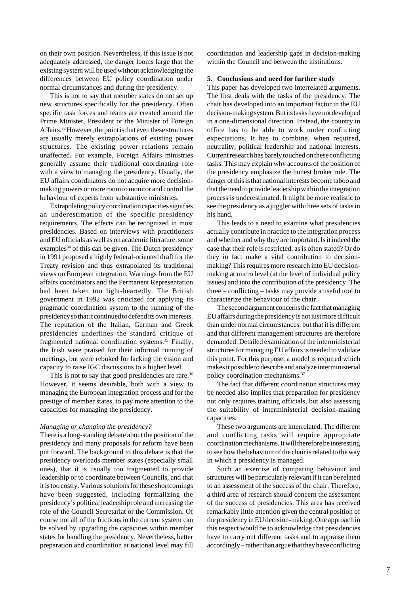on their own position. Nevertheless, if this issue is not adequately addressed, the danger looms large that the existing system will be used without acknowledging the differences between EU policy coordination under normal circumstances and during the presidency.

This is not to say that member states do not set up new structures specifically for the presidency. Often specific task forces and teams are created around the Prime Minister, President or the Minister of Foreign Affairs.33 However, the point is that even these structures are usually merely extrapolations of existing power structures. The existing power relations remain unaffected. For example, Foreign Affairs ministries generally assume their traditional coordinating role with a view to managing the presidency. Usually, the EU affairs coordinators do not acquire more decisionmaking powers or more room to monitor and control the behaviour of experts from substantive ministries.

Extrapolating policy coordination capacities signifies an underestimation of the specific presidency requirements. The effects can be recognized in most presidencies. Based on interviews with practitioners and EU officials as well as on academic literature, some examples<sup>34</sup> of this can be given. The Dutch presidency in 1991 proposed a highly federal-oriented draft for the Treaty revision and thus extrapolated its traditional views on European integration. Warnings from the EU affairs coordinators and the Permanent Representation had been taken too light-heartedly. The British government in 1992 was criticized for applying its pragmatic coordination system to the running of the presidency so that it continued to defend its own interests. The reputation of the Italian, German and Greek presidencies underlines the standard critique of fragmented national coordination systems.35 Finally, the Irish were praised for their informal running of meetings, but were rebuked for lacking the vision and capacity to raise IGC discussions to a higher level.

This is not to say that good presidencies are rare.<sup>36</sup> However, it seems desirable, both with a view to managing the European integration process and for the prestige of member states, to pay more attention to the capacities for managing the presidency.

### *Managing or changing the presidency?*

There is a long-standing debate about the position of the presidency and many proposals for reform have been put forward. The background to this debate is that the presidency overloads member states (especially small ones), that it is usually too fragmented to provide leadership or to coordinate between Councils, and that it is too costly. Various solutions for these shortcomings have been suggested, including formalizing the presidency's political leadership role and increasing the role of the Council Secretariat or the Commission. Of course not all of the frictions in the current system can be solved by upgrading the capacities within member states for handling the presidency. Nevertheless, better preparation and coordination at national level may fill

coordination and leadership gaps in decision-making within the Council and between the institutions.

# **5. Conclusions and need for further study**

This paper has developed two interrelated arguments. The first deals with the tasks of the presidency. The chair has developed into an important factor in the EU decision-making system. But its tasks have not developed in a one-dimensional direction. Instead, the country in office has to be able to work under conflicting expectations. It has to combine, when required, neutrality, political leadership and national interests. Current research has barely touched on these conflicting tasks. This may explain why accounts of the position of the presidency emphasize the honest broker role. The danger of this is that national interests become taboo and that the need to provide leadership within the integration process is underestimated. It might be more realistic to see the presidency as a juggler with three sets of tasks in his hand.

This leads to a need to examine what presidencies actually contribute in practice to the integration process and whether and why they are important. Is it indeed the case that their role is restricted, as is often stated? Or do they in fact make a vital contribution to decisionmaking? This requires more research into EU decisionmaking at micro level (at the level of individual policy issues) and into the contribution of the presidency. The three – conflicting – tasks may provide a useful tool to characterize the behaviour of the chair.

The second argument concerns the fact that managing EU affairs during the presidency is not just more difficult than under normal circumstances, but that it is different and that different management structures are therefore demanded. Detailed examination of the interministerial structures for managing EU affairs is needed to validate this point. For this purpose, a model is required which makes it possible to describe and analyze interministerial policy coordination mechanisms.37

The fact that different coordination structures may be needed also implies that preparation for presidency not only requires training officials, but also assessing the suitability of interministerial decision-making capacities.

These two arguments are interrelated. The different and conflicting tasks will require appropriate coordination mechanisms. It will therefore be interesting to see how the behaviour of the chair is related to the way in which a presidency is managed.

Such an exercise of comparing behaviour and structures will be particularly relevant if it can be related to an assessment of the success of the chair. Therefore, a third area of research should concern the assessment of the success of presidencies. This area has received remarkably little attention given the central position of the presidency in EU decision-making. One approach in this respect would be to acknowledge that presidencies have to carry out different tasks and to appraise them accordingly – rather than argue that they have conflicting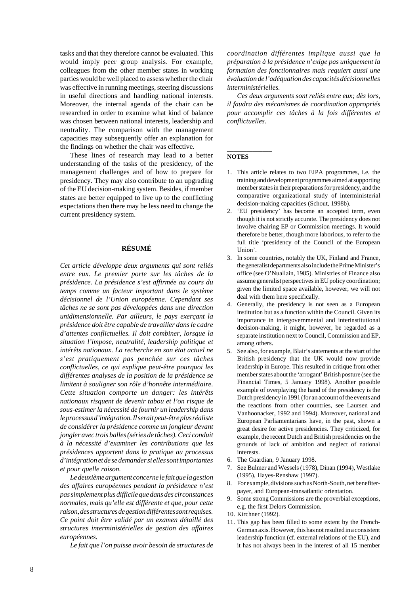tasks and that they therefore cannot be evaluated. This would imply peer group analysis. For example, colleagues from the other member states in working parties would be well placed to assess whether the chair was effective in running meetings, steering discussions in useful directions and handling national interests. Moreover, the internal agenda of the chair can be researched in order to examine what kind of balance was chosen between national interests, leadership and neutrality. The comparison with the management capacities may subsequently offer an explanation for the findings on whether the chair was effective.

These lines of research may lead to a better understanding of the tasks of the presidency, of the management challenges and of how to prepare for presidency. They may also contribute to an upgrading of the EU decision-making system. Besides, if member states are better equipped to live up to the conflicting expectations then there may be less need to change the current presidency system.

# **RÉSUMÉ**

*Cet article développe deux arguments qui sont reliés entre eux. Le premier porte sur les tâches de la présidence. La présidence s'est affirmée au cours du temps comme un facteur important dans le système décisionnel de l'Union européenne. Cependant ses tâches ne se sont pas développées dans une direction unidimensionnelle. Par ailleurs, le pays exerçant la présidence doit être capable de travailler dans le cadre d'attentes conflictuelles. Il doit combiner, lorsque la situation l'impose, neutralité, leadership politique et intérêts nationaux. La recherche en son état actuel ne s'est pratiquement pas penchée sur ces tâches conflictuelles, ce qui explique peut-être pourquoi les différentes analyses de la position de la présidence se limitent à souligner son rôle d'honnête intermédiaire. Cette situation comporte un danger: les intérêts nationaux risquent de devenir tabou et l'on risque de sous-estimer la nécessité de fournir un leadership dans le processus d'intégration. Il serait peut-être plus réaliste de considérer la présidence comme un jongleur devant jongler avec trois balles (séries de tâches). Ceci conduit à la nécessité d'examiner les contributions que les présidences apportent dans la pratique au processus d'intégration et de se demander si elles sont importantes et pour quelle raison.*

*Le deuxième argument concerne le fait que la gestion des affaires européennes pendant la présidence n'est pas simplement plus difficile que dans des circonstances normales, mais qu'elle est différente et que, pour cette raison, des structures de gestion différentes sont requises. Ce point doit être validé par un examen détaillé des structures interministérielles de gestion des affaires européennes.*

*Le fait que l'on puisse avoir besoin de structures de*

*coordination différentes implique aussi que la préparation à la présidence n'exige pas uniquement la formation des fonctionnaires mais requiert aussi une évaluation de l'adéquation des capacités décisionnelles interministérielles.*

*Ces deux arguments sont reliés entre eux; dès lors, il faudra des mécanismes de coordination appropriés pour accomplir ces tâches à la fois différentes et conflictuelles.*

### **NOTES**

**\_\_\_\_\_\_\_\_\_\_\_\_\_\_**

- 1. This article relates to two EIPA programmes, i.e. the training and development programmes aimed at supporting member states in their preparations for presidency, and the comparative organizational study of interministerial decision-making capacities (Schout, 1998b).
- 2. 'EU presidency' has become an accepted term, even though it is not strictly accurate. The presidency does not involve chairing EP or Commission meetings. It would therefore be better, though more laborious, to refer to the full title 'presidency of the Council of the European Union'.
- 3. In some countries, notably the UK, Finland and France, the generalist departments also include the Prime Minister's office (see O'Nuallain, 1985). Ministries of Finance also assume generalist perspectives in EU policy coordination; given the limited space available, however, we will not deal with them here specifically.
- 4. Generally, the presidency is not seen as a European institution but as a function within the Council. Given its importance in intergovernmental and interinstitutional decision-making, it might, however, be regarded as a separate institution next to Council, Commission and EP, among others.
- 5. See also, for example, Blair's statements at the start of the British presidency that the UK would now provide leadership in Europe. This resulted in critique from other member states about the 'arrogant' British posture (see the Financial Times, 5 January 1998). Another possible example of overplaying the hand of the presidency is the Dutch presidency in 1991 (for an account of the events and the reactions from other countries, see Laursen and Vanhoonacker, 1992 and 1994). Moreover, national and European Parliamentarians have, in the past, shown a great desire for active presidencies. They criticized, for example, the recent Dutch and British presidencies on the grounds of lack of ambition and neglect of national interests.
- 6. The Guardian, 9 January 1998.
- 7. See Bulmer and Wessels (1978), Dinan (1994), Westlake (1995), Hayes-Renshaw (1997).
- 8. For example, divisions such as North-South, net benefiterpayer, and European-transatlantic orientation.
- 9. Some strong Commissions are the proverbial exceptions, e.g. the first Delors Commission.
- 10. Kirchner (1992).
- 11. This gap has been filled to some extent by the French-German axis. However, this has not resulted in a consistent leadership function (cf. external relations of the EU), and it has not always been in the interest of all 15 member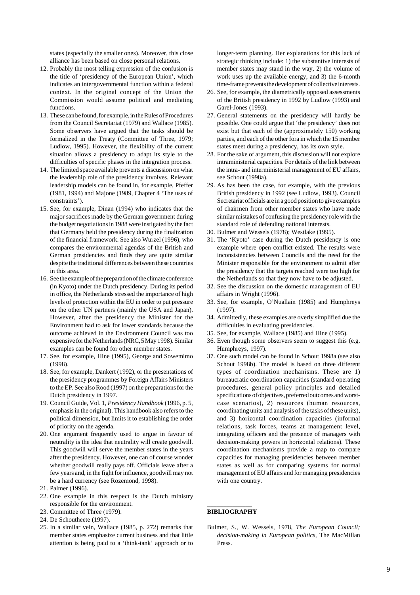states (especially the smaller ones). Moreover, this close alliance has been based on close personal relations.

- 12. Probably the most telling expression of the confusion is the title of 'presidency of the European Union', which indicates an intergovernmental function within a federal context. In the original concept of the Union the Commission would assume political and mediating functions.
- 13. These can be found, for example, in the Rules of Procedures from the Council Secretariat (1979) and Wallace (1985). Some observers have argued that the tasks should be formalized in the Treaty (Committee of Three, 1979; Ludlow, 1995). However, the flexibility of the current situation allows a presidency to adapt its style to the difficulties of specific phases in the integration process.
- 14. The limited space available prevents a discussion on what the leadership role of the presidency involves. Relevant leadership models can be found in, for example, Pfeffer (1981, 1994) and Majone (1989, Chapter 4 'The uses of constraints').
- 15. See, for example, Dinan (1994) who indicates that the major sacrifices made by the German government during the budget negotiations in 1988 were instigated by the fact that Germany held the presidency during the finalization of the financial framework. See also Wurzel (1996), who compares the environmental agendas of the British and German presidencies and finds they are quite similar despite the traditional differences between these countries in this area.
- 16. See the example of the preparation of the climate conference (in Kyoto) under the Dutch presidency. During its period in office, the Netherlands stressed the importance of high levels of protection within the EU in order to put pressure on the other UN partners (mainly the USA and Japan). However, after the presidency the Minister for the Environment had to ask for lower standards because the outcome achieved in the Environment Council was too expensive for the Netherlands (NRC, 5 May 1998). Similar examples can be found for other member states.
- 17. See, for example, Hine (1995), George and Sowemimo (1998).
- 18. See, for example, Dankert (1992), or the presentations of the presidency programmes by Foreign Affairs Ministers to the EP. See also Rood (1997) on the preparations for the Dutch presidency in 1997.
- 19. Council Guide, Vol. 1, *Presidency Handbook* (1996, p. 5, emphasis in the original). This handbook also refers to the political dimension, but limits it to establishing the order of priority on the agenda.
- 20. One argument frequently used to argue in favour of neutrality is the idea that neutrality will create goodwill. This goodwill will serve the member states in the years after the presidency. However, one can of course wonder whether goodwill really pays off. Officials leave after a few years and, in the fight for influence, goodwill may not be a hard currency (see Rozemond, 1998).
- 21. Palmer (1996).
- 22. One example in this respect is the Dutch ministry responsible for the environment.
- 23. Committee of Three (1979).
- 24. De Schoutheete (1997).
- 25. In a similar vein, Wallace (1985, p. 272) remarks that member states emphasize current business and that little attention is being paid to a 'think-tank' approach or to

longer-term planning. Her explanations for this lack of strategic thinking include: 1) the substantive interests of member states may stand in the way, 2) the volume of work uses up the available energy, and 3) the 6-month time-frame prevents the development of collective interests.

- 26. See, for example, the diametrically opposed assessments of the British presidency in 1992 by Ludlow (1993) and Garel-Jones (1993).
- 27. General statements on the presidency will hardly be possible. One could argue that 'the presidency' does not exist but that each of the (approximately 150) working parties, and each of the other fora in which the 15 member states meet during a presidency, has its own style.
- 28. For the sake of argument, this discussion will not explore intraministerial capacities. For details of the link between the intra- and interministerial management of EU affairs, see Schout (1998a).
- 29. As has been the case, for example, with the previous British presidency in 1992 (see Ludlow, 1993). Council Secretariat officials are in a good position to give examples of chairmen from other member states who have made similar mistakes of confusing the presidency role with the standard role of defending national interests.
- 30. Bulmer and Wessels (1978); Westlake (1995).
- 31. The 'Kyoto' case during the Dutch presidency is one example where open conflict existed. The results were inconsistencies between Councils and the need for the Minister responsible for the environment to admit after the presidency that the targets reached were too high for the Netherlands so that they now have to be adjusted.
- 32. See the discussion on the domestic management of EU affairs in Wright (1996).
- 33. See, for example, O'Nuallain (1985) and Humphreys (1997).
- 34. Admittedly, these examples are overly simplified due the difficulties in evaluating presidencies.
- 35. See, for example, Wallace (1985) and Hine (1995).
- 36. Even though some observers seem to suggest this (e.g. Humphreys, 1997).
- 37. One such model can be found in Schout 1998a (see also Schout 1998b). The model is based on three different types of coordination mechanisms. These are 1) bureaucratic coordination capacities (standard operating procedures, general policy principles and detailed specifications of objectives, preferred outcomes and worstcase scenarios), 2) resources (human resources, coordinating units and analysis of the tasks of these units), and 3) horizontal coordination capacities (informal relations, task forces, teams at management level, integrating officers and the presence of managers with decision-making powers in horizontal relations). These coordination mechanisms provide a map to compare capacities for managing presidencies between member states as well as for comparing systems for normal management of EU affairs and for managing presidencies with one country.

### **\_\_\_\_\_\_\_\_\_\_\_\_\_\_ BIBLIOGRAPHY**

Bulmer, S., W. Wessels, 1978, *The European Council; decision-making in European politics*, The MacMillan Press.